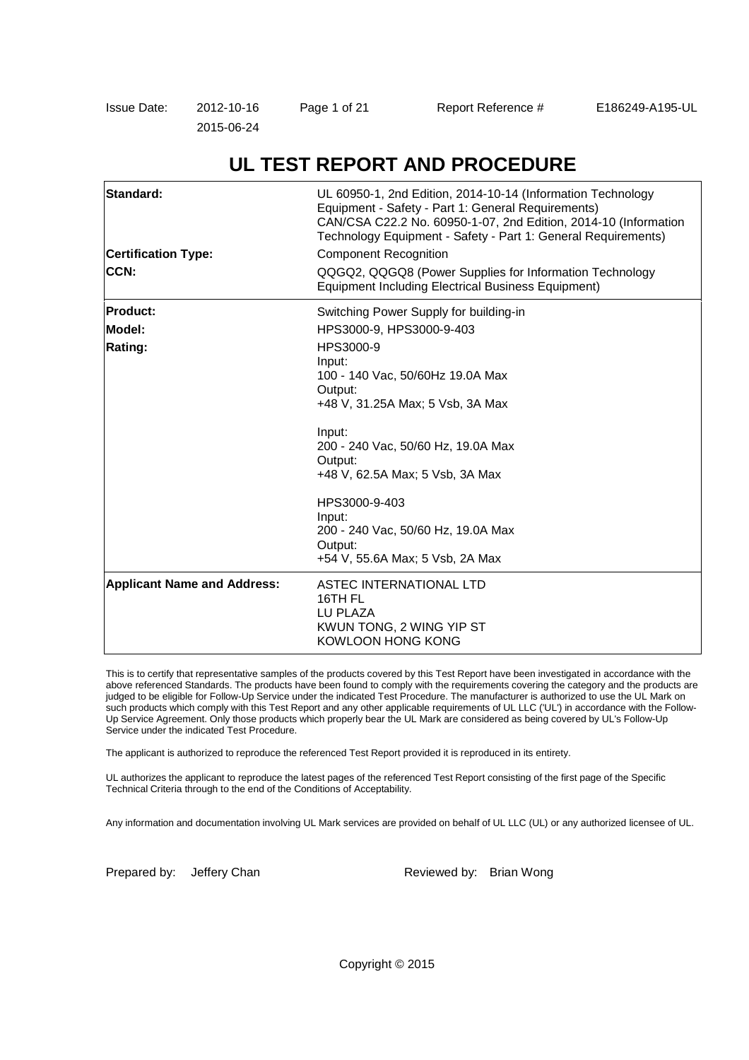| Issue Date: | 2012-10-16 | Page 1 of 21 | Report Reference # | E186249-A195-UL |
|-------------|------------|--------------|--------------------|-----------------|
|             | 2015-06-24 |              |                    |                 |

| Standard:<br><b>Certification Type:</b><br>CCN: | UL 60950-1, 2nd Edition, 2014-10-14 (Information Technology<br>Equipment - Safety - Part 1: General Requirements)<br>CAN/CSA C22.2 No. 60950-1-07, 2nd Edition, 2014-10 (Information<br>Technology Equipment - Safety - Part 1: General Requirements)<br><b>Component Recognition</b><br>QQGQ2, QQGQ8 (Power Supplies for Information Technology<br><b>Equipment Including Electrical Business Equipment)</b> |
|-------------------------------------------------|---------------------------------------------------------------------------------------------------------------------------------------------------------------------------------------------------------------------------------------------------------------------------------------------------------------------------------------------------------------------------------------------------------------|
| <b>Product:</b>                                 | Switching Power Supply for building-in                                                                                                                                                                                                                                                                                                                                                                        |
| Model:                                          | HPS3000-9, HPS3000-9-403                                                                                                                                                                                                                                                                                                                                                                                      |
| Rating:                                         | HPS3000-9                                                                                                                                                                                                                                                                                                                                                                                                     |
|                                                 | Input:                                                                                                                                                                                                                                                                                                                                                                                                        |
|                                                 | 100 - 140 Vac, 50/60Hz 19.0A Max                                                                                                                                                                                                                                                                                                                                                                              |
|                                                 | Output:<br>+48 V, 31.25A Max; 5 Vsb, 3A Max                                                                                                                                                                                                                                                                                                                                                                   |
|                                                 |                                                                                                                                                                                                                                                                                                                                                                                                               |
|                                                 | Input:                                                                                                                                                                                                                                                                                                                                                                                                        |
|                                                 | 200 - 240 Vac, 50/60 Hz, 19.0A Max                                                                                                                                                                                                                                                                                                                                                                            |
|                                                 | Output:<br>+48 V, 62.5A Max; 5 Vsb, 3A Max                                                                                                                                                                                                                                                                                                                                                                    |
|                                                 |                                                                                                                                                                                                                                                                                                                                                                                                               |
|                                                 | HPS3000-9-403                                                                                                                                                                                                                                                                                                                                                                                                 |
|                                                 | Input:                                                                                                                                                                                                                                                                                                                                                                                                        |
|                                                 | 200 - 240 Vac, 50/60 Hz, 19.0A Max<br>Output:                                                                                                                                                                                                                                                                                                                                                                 |
|                                                 | +54 V, 55.6A Max; 5 Vsb, 2A Max                                                                                                                                                                                                                                                                                                                                                                               |
| <b>Applicant Name and Address:</b>              | ASTEC INTERNATIONAL LTD<br>16TH FL<br>LU PLAZA<br>KWUN TONG, 2 WING YIP ST<br>KOWLOON HONG KONG                                                                                                                                                                                                                                                                                                               |

# **UL TEST REPORT AND PROCEDURE**

This is to certify that representative samples of the products covered by this Test Report have been investigated in accordance with the above referenced Standards. The products have been found to comply with the requirements covering the category and the products are judged to be eligible for Follow-Up Service under the indicated Test Procedure. The manufacturer is authorized to use the UL Mark on such products which comply with this Test Report and any other applicable requirements of UL LLC ('UL') in accordance with the Follow-Up Service Agreement. Only those products which properly bear the UL Mark are considered as being covered by UL's Follow-Up Service under the indicated Test Procedure.

The applicant is authorized to reproduce the referenced Test Report provided it is reproduced in its entirety.

UL authorizes the applicant to reproduce the latest pages of the referenced Test Report consisting of the first page of the Specific Technical Criteria through to the end of the Conditions of Acceptability.

Any information and documentation involving UL Mark services are provided on behalf of UL LLC (UL) or any authorized licensee of UL.

Prepared by: Jeffery Chan Reviewed by: Brian Wong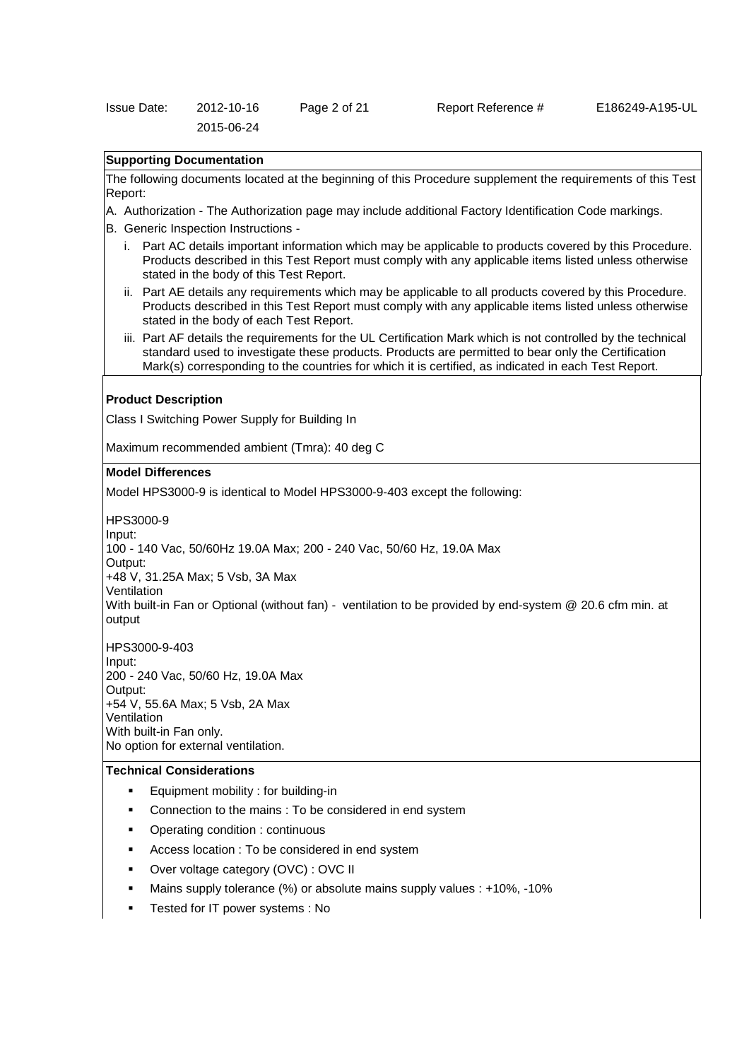| Issue Date: | 2012-10-16 | Page 2 of 21 |  |
|-------------|------------|--------------|--|
|             | 2015-06-24 |              |  |

## **Supporting Documentation**

The following documents located at the beginning of this Procedure supplement the requirements of this Test Report:

- A. Authorization The Authorization page may include additional Factory Identification Code markings.
- B. Generic Inspection Instructions
	- i. Part AC details important information which may be applicable to products covered by this Procedure. Products described in this Test Report must comply with any applicable items listed unless otherwise stated in the body of this Test Report.
	- ii. Part AE details any requirements which may be applicable to all products covered by this Procedure. Products described in this Test Report must comply with any applicable items listed unless otherwise stated in the body of each Test Report.
	- iii. Part AF details the requirements for the UL Certification Mark which is not controlled by the technical standard used to investigate these products. Products are permitted to bear only the Certification Mark(s) corresponding to the countries for which it is certified, as indicated in each Test Report.

### **Product Description**

Class I Switching Power Supply for Building In

Maximum recommended ambient (Tmra): 40 deg C

#### **Model Differences**

Model HPS3000-9 is identical to Model HPS3000-9-403 except the following:

HPS3000-9

Input:

100 - 140 Vac, 50/60Hz 19.0A Max; 200 - 240 Vac, 50/60 Hz, 19.0A Max

Output:

+48 V, 31.25A Max; 5 Vsb, 3A Max

Ventilation

With built-in Fan or Optional (without fan) - ventilation to be provided by end-system @ 20.6 cfm min. at output

HPS3000-9-403 Input: 200 - 240 Vac, 50/60 Hz, 19.0A Max Output: +54 V, 55.6A Max; 5 Vsb, 2A Max **Ventilation** With built-in Fan only. No option for external ventilation.

## **Technical Considerations**

- **Equipment mobility : for building-in**
- Connection to the mains : To be considered in end system
- Operating condition : continuous
- Access location : To be considered in end system
- Over voltage category (OVC) : OVC II
- Mains supply tolerance (%) or absolute mains supply values : +10%, -10%
- Tested for IT power systems : No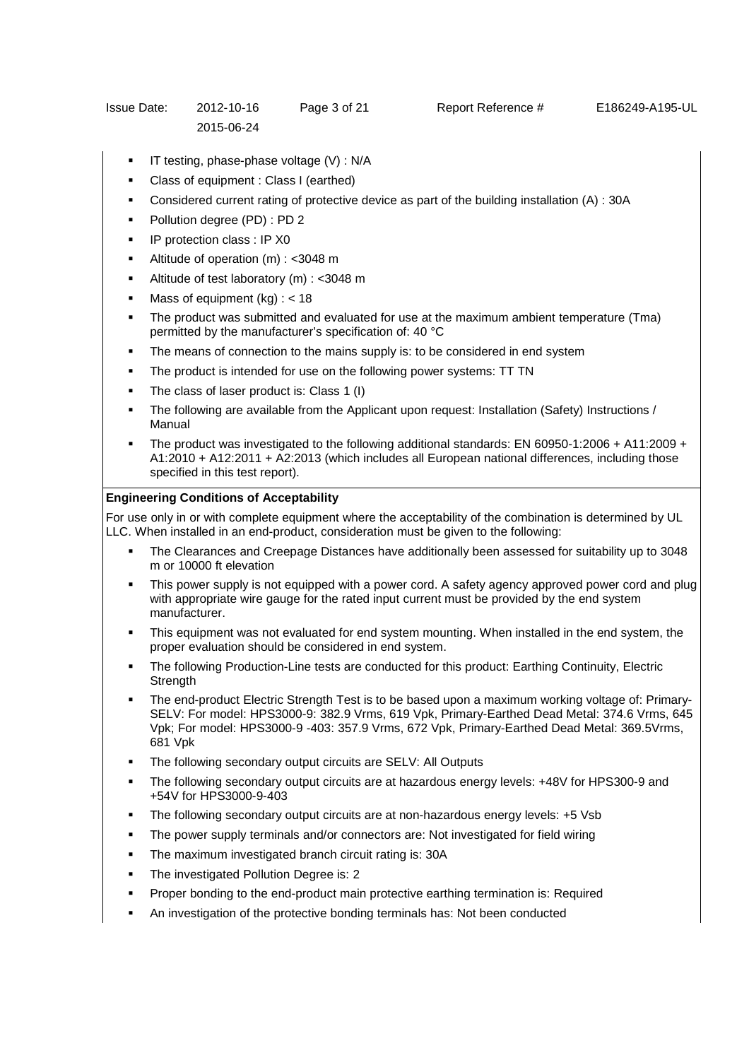- IT testing, phase-phase voltage (V) : N/A
- Class of equipment : Class I (earthed)
- Considered current rating of protective device as part of the building installation (A) : 30A
- Pollution degree (PD) : PD 2
- IP protection class : IP X0
- Altitude of operation (m) : <3048 m
- Altitude of test laboratory (m) : <3048 m
- Mass of equipment  $(kq)$  : < 18
- The product was submitted and evaluated for use at the maximum ambient temperature (Tma) permitted by the manufacturer's specification of: 40 °C
- The means of connection to the mains supply is: to be considered in end system
- The product is intended for use on the following power systems: TT TN
- The class of laser product is: Class 1 (I)
- The following are available from the Applicant upon request: Installation (Safety) Instructions / Manual
- The product was investigated to the following additional standards: EN 60950-1:2006 + A11:2009 + A1:2010 + A12:2011 + A2:2013 (which includes all European national differences, including those specified in this test report).

## **Engineering Conditions of Acceptability**

For use only in or with complete equipment where the acceptability of the combination is determined by UL LLC. When installed in an end-product, consideration must be given to the following:

- The Clearances and Creepage Distances have additionally been assessed for suitability up to 3048 m or 10000 ft elevation
- This power supply is not equipped with a power cord. A safety agency approved power cord and plug with appropriate wire gauge for the rated input current must be provided by the end system manufacturer.
- This equipment was not evaluated for end system mounting. When installed in the end system, the proper evaluation should be considered in end system.
- The following Production-Line tests are conducted for this product: Earthing Continuity, Electric **Strength**
- The end-product Electric Strength Test is to be based upon a maximum working voltage of: Primary-SELV: For model: HPS3000-9: 382.9 Vrms, 619 Vpk, Primary-Earthed Dead Metal: 374.6 Vrms, 645 Vpk; For model: HPS3000-9 -403: 357.9 Vrms, 672 Vpk, Primary-Earthed Dead Metal: 369.5Vrms, 681 Vpk
- The following secondary output circuits are SELV: All Outputs
- The following secondary output circuits are at hazardous energy levels: +48V for HPS300-9 and +54V for HPS3000-9-403
- The following secondary output circuits are at non-hazardous energy levels: +5 Vsb
- The power supply terminals and/or connectors are: Not investigated for field wiring
- The maximum investigated branch circuit rating is: 30A
- The investigated Pollution Degree is: 2
- Proper bonding to the end-product main protective earthing termination is: Required
- An investigation of the protective bonding terminals has: Not been conducted